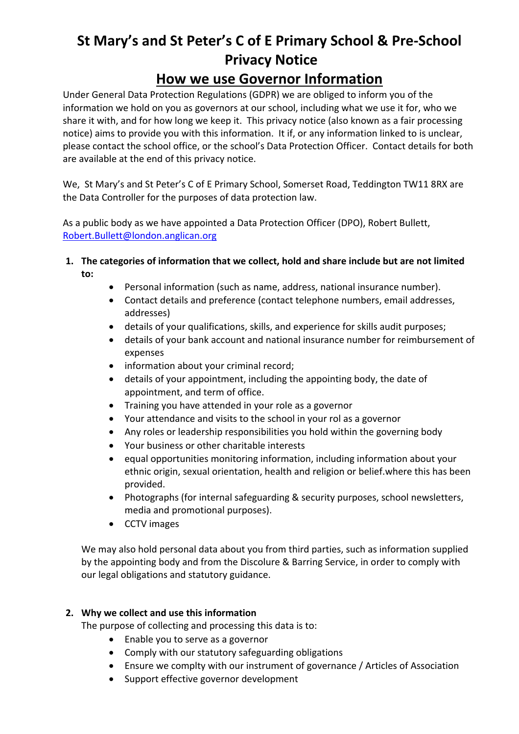# **St Mary's and St Peter's C of E Primary School & Pre-School Privacy Notice How we use Governor Information**

Under General Data Protection Regulations (GDPR) we are obliged to inform you of the information we hold on you as governors at our school, including what we use it for, who we share it with, and for how long we keep it. This privacy notice (also known as a fair processing notice) aims to provide you with this information. It if, or any information linked to is unclear, please contact the school office, or the school's Data Protection Officer. Contact details for both are available at the end of this privacy notice.

We, St Mary's and St Peter's C of E Primary School, Somerset Road, Teddington TW11 8RX are the Data Controller for the purposes of data protection law.

As a public body as we have appointed a Data Protection Officer (DPO), Robert Bullett, Robert.Bullett@london.anglican.org

- **1. The categories of information that we collect, hold and share include but are not limited to:**
	- Personal information (such as name, address, national insurance number).
	- Contact details and preference (contact telephone numbers, email addresses, addresses)
	- details of your qualifications, skills, and experience for skills audit purposes;
	- details of your bank account and national insurance number for reimbursement of expenses
	- information about your criminal record;
	- details of your appointment, including the appointing body, the date of appointment, and term of office.
	- Training you have attended in your role as a governor
	- Your attendance and visits to the school in your rol as a governor
	- Any roles or leadership responsibilities you hold within the governing body
	- Your business or other charitable interests
	- equal opportunities monitoring information, including information about your ethnic origin, sexual orientation, health and religion or belief.where this has been provided.
	- Photographs (for internal safeguarding & security purposes, school newsletters, media and promotional purposes).
	- CCTV images

We may also hold personal data about you from third parties, such as information supplied by the appointing body and from the Discolure & Barring Service, in order to comply with our legal obligations and statutory guidance.

# **2. Why we collect and use this information**

The purpose of collecting and processing this data is to:

- Enable you to serve as a governor
- Comply with our statutory safeguarding obligations
- Ensure we complty with our instrument of governance / Articles of Association
- Support effective governor development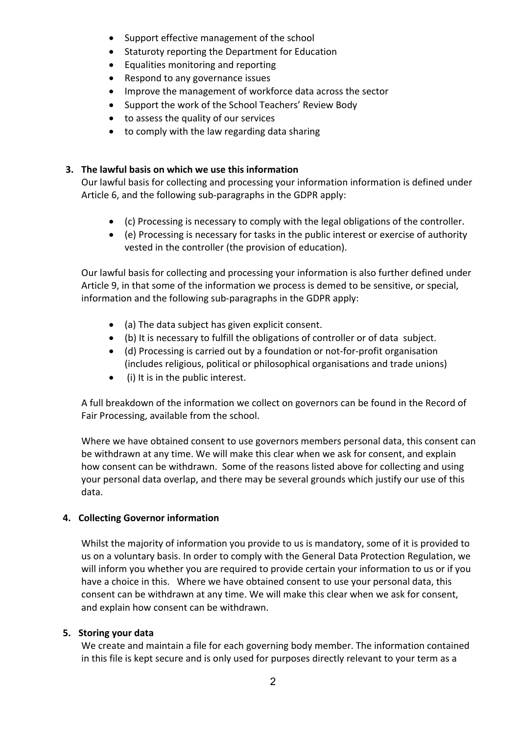- Support effective management of the school
- Staturoty reporting the Department for Education
- Equalities monitoring and reporting
- Respond to any governance issues
- Improve the management of workforce data across the sector
- Support the work of the School Teachers' Review Body
- to assess the quality of our services
- to comply with the law regarding data sharing

## **3. The lawful basis on which we use this information**

Our lawful basis for collecting and processing your information information is defined under Article 6, and the following sub-paragraphs in the GDPR apply:

- (c) Processing is necessary to comply with the legal obligations of the controller.
- (e) Processing is necessary for tasks in the public interest or exercise of authority vested in the controller (the provision of education).

Our lawful basis for collecting and processing your information is also further defined under Article 9, in that some of the information we process is demed to be sensitive, or special, information and the following sub-paragraphs in the GDPR apply:

- (a) The data subject has given explicit consent.
- (b) It is necessary to fulfill the obligations of controller or of data subject.
- (d) Processing is carried out by a foundation or not-for-profit organisation (includes religious, political or philosophical organisations and trade unions)
- (i) It is in the public interest.

A full breakdown of the information we collect on governors can be found in the Record of Fair Processing, available from the school.

Where we have obtained consent to use governors members personal data, this consent can be withdrawn at any time. We will make this clear when we ask for consent, and explain how consent can be withdrawn. Some of the reasons listed above for collecting and using your personal data overlap, and there may be several grounds which justify our use of this data.

## **4. Collecting Governor information**

Whilst the majority of information you provide to us is mandatory, some of it is provided to us on a voluntary basis. In order to comply with the General Data Protection Regulation, we will inform you whether you are required to provide certain your information to us or if you have a choice in this. Where we have obtained consent to use your personal data, this consent can be withdrawn at any time. We will make this clear when we ask for consent, and explain how consent can be withdrawn.

## **5. Storing your data**

We create and maintain a file for each governing body member. The information contained in this file is kept secure and is only used for purposes directly relevant to your term as a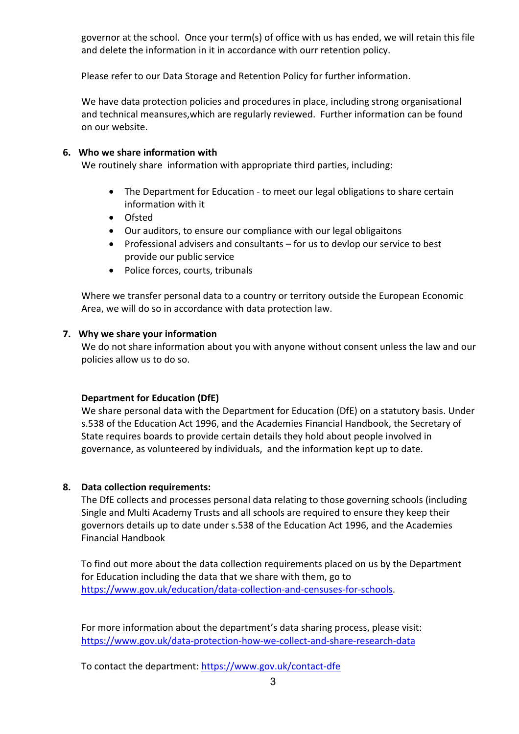governor at the school. Once your term(s) of office with us has ended, we will retain this file and delete the information in it in accordance with ourr retention policy.

Please refer to our Data Storage and Retention Policy for further information.

We have data protection policies and procedures in place, including strong organisational and technical meansures,which are regularly reviewed. Further information can be found on our website.

### **6. Who we share information with**

We routinely share information with appropriate third parties, including:

- The Department for Education to meet our legal obligations to share certain information with it
- Ofsted
- Our auditors, to ensure our compliance with our legal obligaitons
- Professional advisers and consultants for us to devlop our service to best provide our public service
- Police forces, courts, tribunals

Where we transfer personal data to a country or territory outside the European Economic Area, we will do so in accordance with data protection law.

#### **7. Why we share your information**

We do not share information about you with anyone without consent unless the law and our policies allow us to do so.

#### **Department for Education (DfE)**

We share personal data with the Department for Education (DfE) on a statutory basis. Under s.538 of the Education Act 1996, and the Academies Financial Handbook, the Secretary of State requires boards to provide certain details they hold about people involved in governance, as volunteered by individuals, and the information kept up to date.

#### **8. Data collection requirements:**

The DfE collects and processes personal data relating to those governing schools (including Single and Multi Academy Trusts and all schools are required to ensure they keep their governors details up to date under s.538 of the Education Act 1996, and the Academies Financial Handbook

To find out more about the data collection requirements placed on us by the Department for Education including the data that we share with them, go to https://www.gov.uk/education/data-collection-and-censuses-for-schools.

For more information about the department's data sharing process, please visit: https://www.gov.uk/data-protection-how-we-collect-and-share-research-data

To contact the department: https://www.gov.uk/contact-dfe